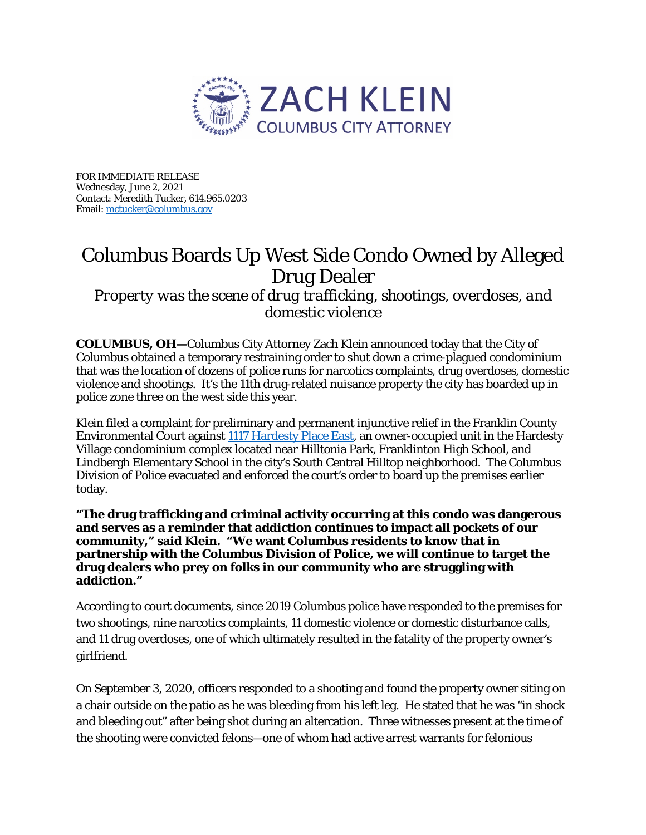

FOR IMMEDIATE RELEASE Wednesday, June 2, 2021 Contact: Meredith Tucker, 614.965.0203 Email[: mctucker@columbus.gov](mailto:mctucker@columbus.gov)

## Columbus Boards Up West Side Condo Owned by Alleged Drug Dealer

*Property was the scene of drug trafficking, shootings, overdoses, and domestic violence*

**COLUMBUS, OH—**Columbus City Attorney Zach Klein announced today that the City of Columbus obtained a temporary restraining order to shut down a crime-plagued condominium that was the location of dozens of police runs for narcotics complaints, drug overdoses, domestic violence and shootings. It's the 11th drug-related nuisance property the city has boarded up in police zone three on the west side this year.

Klein filed a complaint for preliminary and permanent injunctive relief in the Franklin County Environmental Court against [1117 Hardesty Place East,](https://www.google.com/maps/place/1117+Hardesty+Pl+E,+Columbus,+OH+43204/@39.9327488,-83.0619078,17z/data=!3m1!4b1!4m5!3m4!1s0x8838855e0b16921b:0x62da480c747aafd!8m2!3d39.9327488!4d-83.0597191) an owner-occupied unit in the Hardesty Village condominium complex located near Hilltonia Park, Franklinton High School, and Lindbergh Elementary School in the city's South Central Hilltop neighborhood. The Columbus Division of Police evacuated and enforced the court's order to board up the premises earlier today.

**"The drug trafficking and criminal activity occurring at this condo was dangerous and serves as a reminder that addiction continues to impact all pockets of our community," said Klein. "We want Columbus residents to know that in partnership with the Columbus Division of Police, we will continue to target the drug dealers who prey on folks in our community who are struggling with addiction."** 

According to court documents, since 2019 Columbus police have responded to the premises for two shootings, nine narcotics complaints, 11 domestic violence or domestic disturbance calls, and 11 drug overdoses, one of which ultimately resulted in the fatality of the property owner's girlfriend.

On September 3, 2020, officers responded to a shooting and found the property owner siting on a chair outside on the patio as he was bleeding from his left leg. He stated that he was "in shock and bleeding out" after being shot during an altercation. Three witnesses present at the time of the shooting were convicted felons—one of whom had active arrest warrants for felonious